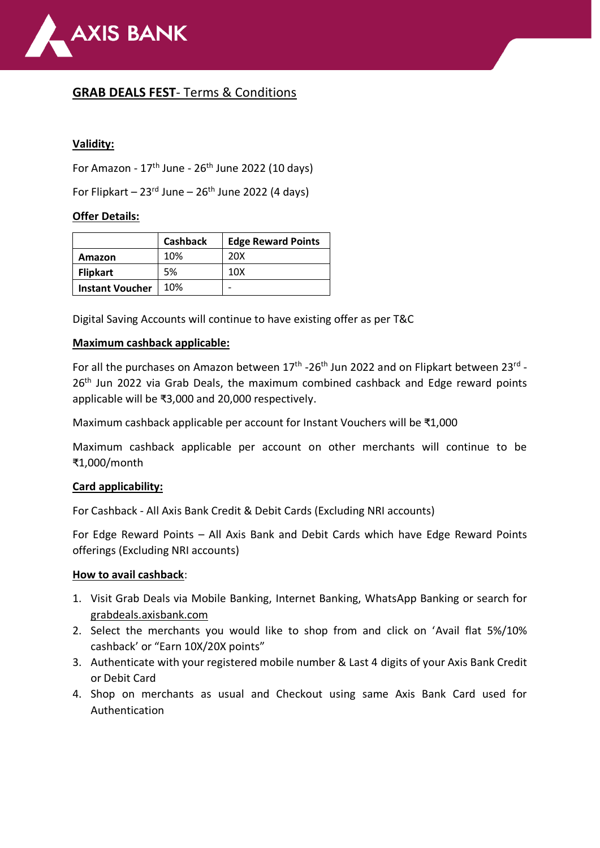

# **GRAB DEALS FEST**- Terms & Conditions

## **Validity:**

For Amazon -  $17<sup>th</sup>$  June -  $26<sup>th</sup>$  June 2022 (10 days)

For Flipkart –  $23<sup>rd</sup>$  June –  $26<sup>th</sup>$  June 2022 (4 days)

### **Offer Details:**

|                        | <b>Cashback</b> | <b>Edge Reward Points</b> |
|------------------------|-----------------|---------------------------|
| Amazon                 | 10%             | 20X                       |
| <b>Flipkart</b>        | 5%              | 10 <sub>X</sub>           |
| <b>Instant Voucher</b> | 10%             |                           |

Digital Saving Accounts will continue to have existing offer as per T&C

### **Maximum cashback applicable:**

For all the purchases on Amazon between 17<sup>th</sup> -26<sup>th</sup> Jun 2022 and on Flipkart between 23<sup>rd</sup> -26<sup>th</sup> Jun 2022 via Grab Deals, the maximum combined cashback and Edge reward points applicable will be ₹3,000 and 20,000 respectively.

Maximum cashback applicable per account for Instant Vouchers will be ₹1,000

Maximum cashback applicable per account on other merchants will continue to be ₹1,000/month

### **Card applicability:**

For Cashback - All Axis Bank Credit & Debit Cards (Excluding NRI accounts)

For Edge Reward Points – All Axis Bank and Debit Cards which have Edge Reward Points offerings (Excluding NRI accounts)

### **How to avail cashback**:

- 1. Visit Grab Deals via Mobile Banking, Internet Banking, WhatsApp Banking or search for grabdeals.axisbank.com
- 2. Select the merchants you would like to shop from and click on 'Avail flat 5%/10% cashback' or "Earn 10X/20X points"
- 3. Authenticate with your registered mobile number & Last 4 digits of your Axis Bank Credit or Debit Card
- 4. Shop on merchants as usual and Checkout using same Axis Bank Card used for Authentication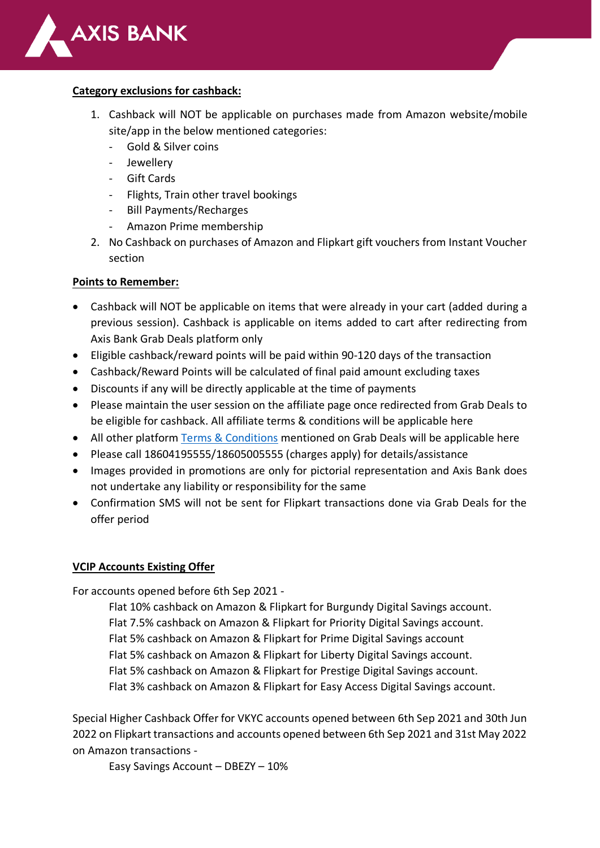

#### **Category exclusions for cashback:**

- 1. Cashback will NOT be applicable on purchases made from Amazon website/mobile site/app in the below mentioned categories:
	- Gold & Silver coins
	- Jewellery
	- Gift Cards
	- Flights, Train other travel bookings
	- Bill Payments/Recharges
	- Amazon Prime membership
- 2. No Cashback on purchases of Amazon and Flipkart gift vouchers from Instant Voucher section

#### **Points to Remember:**

- Cashback will NOT be applicable on items that were already in your cart (added during a previous session). Cashback is applicable on items added to cart after redirecting from Axis Bank Grab Deals platform only
- Eligible cashback/reward points will be paid within 90-120 days of the transaction
- Cashback/Reward Points will be calculated of final paid amount excluding taxes
- Discounts if any will be directly applicable at the time of payments
- Please maintain the user session on the affiliate page once redirected from Grab Deals to be eligible for cashback. All affiliate terms & conditions will be applicable here
- All other platform [Terms & Conditions](https://grabdeals.axisbank.com/termsandconditions) mentioned on Grab Deals will be applicable here
- Please call 18604195555/18605005555 (charges apply) for details/assistance
- Images provided in promotions are only for pictorial representation and Axis Bank does not undertake any liability or responsibility for the same
- Confirmation SMS will not be sent for Flipkart transactions done via Grab Deals for the offer period

### **VCIP Accounts Existing Offer**

For accounts opened before 6th Sep 2021 -

Flat 10% cashback on Amazon & Flipkart for Burgundy Digital Savings account. Flat 7.5% cashback on Amazon & Flipkart for Priority Digital Savings account. Flat 5% cashback on Amazon & Flipkart for Prime Digital Savings account Flat 5% cashback on Amazon & Flipkart for Liberty Digital Savings account. Flat 5% cashback on Amazon & Flipkart for Prestige Digital Savings account. Flat 3% cashback on Amazon & Flipkart for Easy Access Digital Savings account.

Special Higher Cashback Offer for VKYC accounts opened between 6th Sep 2021 and 30th Jun 2022 on Flipkart transactions and accounts opened between 6th Sep 2021 and 31st May 2022 on Amazon transactions -

Easy Savings Account – DBEZY – 10%